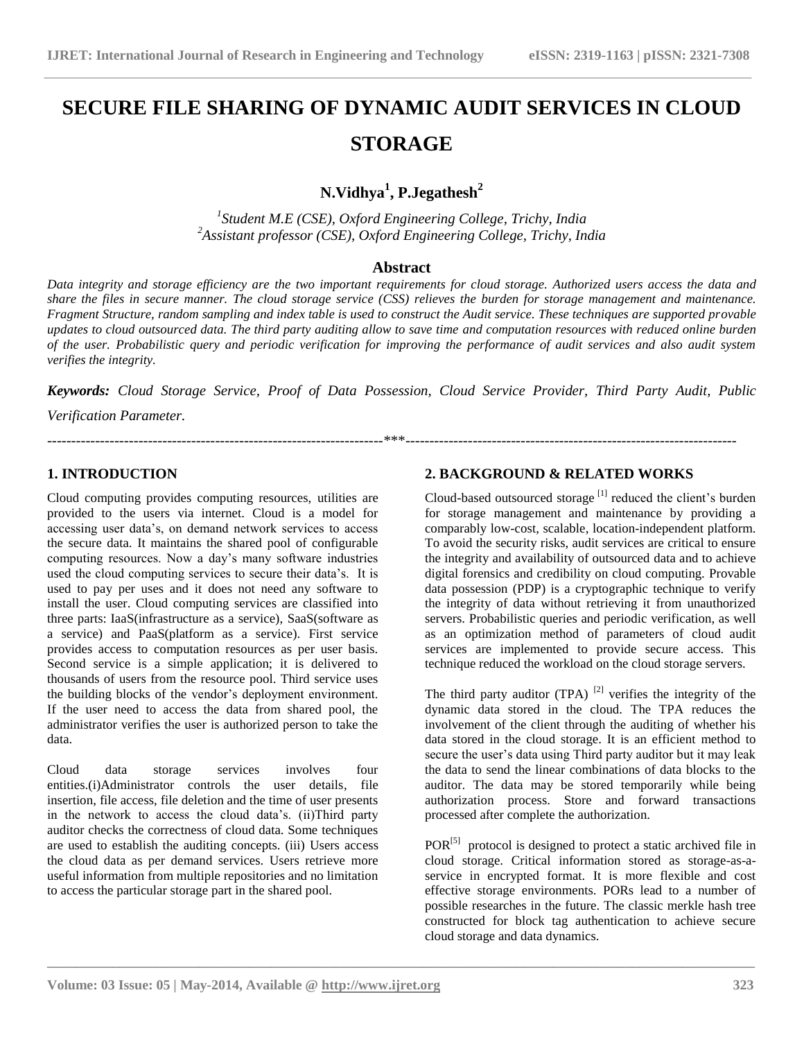# **SECURE FILE SHARING OF DYNAMIC AUDIT SERVICES IN CLOUD STORAGE**

# **N.Vidhya<sup>1</sup> , P.Jegathesh<sup>2</sup>**

*1 Student M.E (CSE), Oxford Engineering College, Trichy, India <sup>2</sup>Assistant professor (CSE), Oxford Engineering College, Trichy, India*

#### **Abstract**

*Data integrity and storage efficiency are the two important requirements for cloud storage. Authorized users access the data and share the files in secure manner. The cloud storage service (CSS) relieves the burden for storage management and maintenance. Fragment Structure, random sampling and index table is used to construct the Audit service. These techniques are supported provable updates to cloud outsourced data. The third party auditing allow to save time and computation resources with reduced online burden of the user. Probabilistic query and periodic verification for improving the performance of audit services and also audit system verifies the integrity.*

*Keywords: Cloud Storage Service, Proof of Data Possession, Cloud Service Provider, Third Party Audit, Public Verification Parameter.*

----------------------------------------------------------------------\*\*\*---------------------------------------------------------------------

**\_\_\_\_\_\_\_\_\_\_\_\_\_\_\_\_\_\_\_\_\_\_\_\_\_\_\_\_\_\_\_\_\_\_\_\_\_\_\_\_\_\_\_\_\_\_\_\_\_\_\_\_\_\_\_\_\_\_\_\_\_\_\_\_\_\_\_\_\_\_\_\_\_\_\_\_\_\_\_\_\_\_\_\_\_\_\_\_\_\_\_\_\_\_\_\_\_\_**

# **1. INTRODUCTION**

Cloud computing provides computing resources, utilities are provided to the users via internet. Cloud is a model for accessing user data's, on demand network services to access the secure data. It maintains the shared pool of configurable computing resources. Now a day's many software industries used the cloud computing services to secure their data's. It is used to pay per uses and it does not need any software to install the user. Cloud computing services are classified into three parts: IaaS(infrastructure as a service), SaaS(software as a service) and PaaS(platform as a service). First service provides access to computation resources as per user basis. Second service is a simple application; it is delivered to thousands of users from the resource pool. Third service uses the building blocks of the vendor's deployment environment. If the user need to access the data from shared pool, the administrator verifies the user is authorized person to take the data.

Cloud data storage services involves four entities.(i)Administrator controls the user details, file insertion, file access, file deletion and the time of user presents in the network to access the cloud data's. (ii)Third party auditor checks the correctness of cloud data. Some techniques are used to establish the auditing concepts. (iii) Users access the cloud data as per demand services. Users retrieve more useful information from multiple repositories and no limitation to access the particular storage part in the shared pool.

## **2. BACKGROUND & RELATED WORKS**

Cloud-based outsourced storage [1] reduced the client's burden for storage management and maintenance by providing a comparably low-cost, scalable, location-independent platform. To avoid the security risks, audit services are critical to ensure the integrity and availability of outsourced data and to achieve digital forensics and credibility on cloud computing. Provable data possession (PDP) is a cryptographic technique to verify the integrity of data without retrieving it from unauthorized servers. Probabilistic queries and periodic verification, as well as an optimization method of parameters of cloud audit services are implemented to provide secure access. This technique reduced the workload on the cloud storage servers.

The third party auditor (TPA)  $^{[2]}$  verifies the integrity of the dynamic data stored in the cloud. The TPA reduces the involvement of the client through the auditing of whether his data stored in the cloud storage. It is an efficient method to secure the user's data using Third party auditor but it may leak the data to send the linear combinations of data blocks to the auditor. The data may be stored temporarily while being authorization process. Store and forward transactions processed after complete the authorization.

 $POR<sup>[5]</sup>$  protocol is designed to protect a static archived file in cloud storage. Critical information stored as storage-as-aservice in encrypted format. It is more flexible and cost effective storage environments. PORs lead to a number of possible researches in the future. The classic merkle hash tree constructed for block tag authentication to achieve secure cloud storage and data dynamics.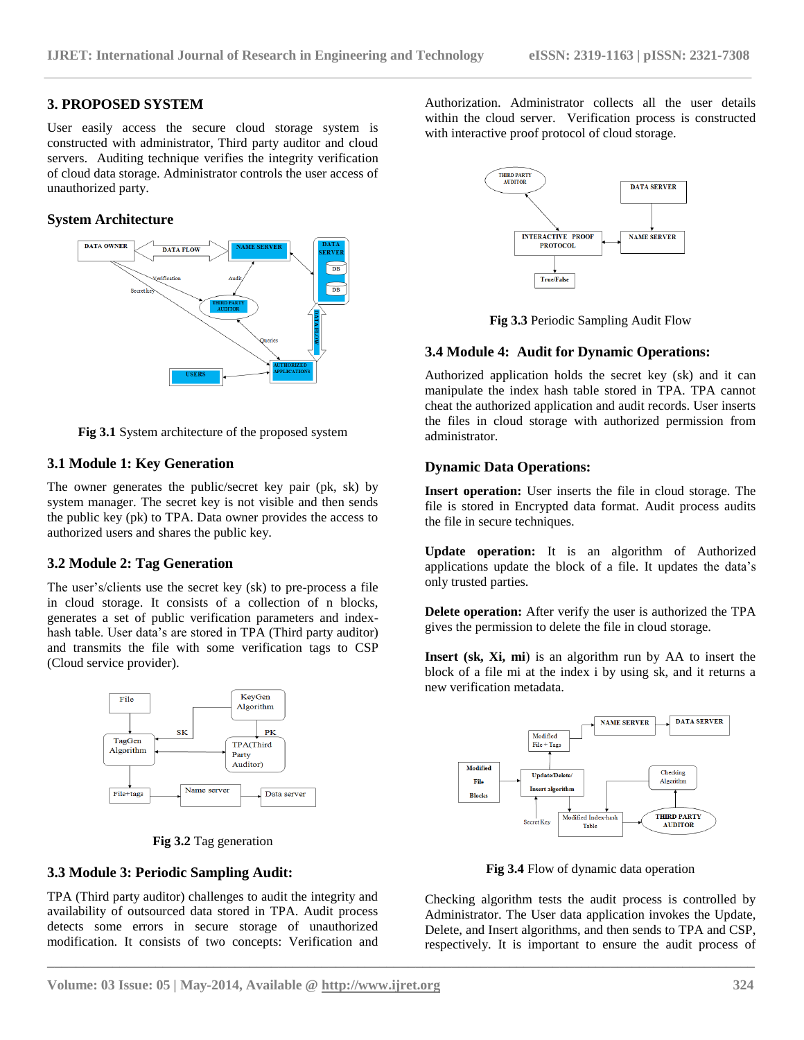## **3. PROPOSED SYSTEM**

User easily access the secure cloud storage system is constructed with administrator, Third party auditor and cloud servers. Auditing technique verifies the integrity verification of cloud data storage. Administrator controls the user access of unauthorized party.

#### **System Architecture**



**Fig 3.1** System architecture of the proposed system

#### **3.1 Module 1: Key Generation**

The owner generates the public/secret key pair (pk, sk) by system manager. The secret key is not visible and then sends the public key (pk) to TPA. Data owner provides the access to authorized users and shares the public key.

# **3.2 Module 2: Tag Generation**

The user's/clients use the secret key (sk) to pre-process a file in cloud storage. It consists of a collection of n blocks, generates a set of public verification parameters and indexhash table. User data's are stored in TPA (Third party auditor) and transmits the file with some verification tags to CSP (Cloud service provider).



**Fig 3.2** Tag generation

#### **3.3 Module 3: Periodic Sampling Audit:**

TPA (Third party auditor) challenges to audit the integrity and availability of outsourced data stored in TPA. Audit process detects some errors in secure storage of unauthorized modification. It consists of two concepts: Verification and Authorization. Administrator collects all the user details within the cloud server. Verification process is constructed with interactive proof protocol of cloud storage.





#### **3.4 Module 4: Audit for Dynamic Operations:**

Authorized application holds the secret key (sk) and it can manipulate the index hash table stored in TPA. TPA cannot cheat the authorized application and audit records. User inserts the files in cloud storage with authorized permission from administrator.

#### **Dynamic Data Operations:**

**Insert operation:** User inserts the file in cloud storage. The file is stored in Encrypted data format. Audit process audits the file in secure techniques.

**Update operation:** It is an algorithm of Authorized applications update the block of a file. It updates the data's only trusted parties.

**Delete operation:** After verify the user is authorized the TPA gives the permission to delete the file in cloud storage.

**Insert (sk, Xi, mi**) is an algorithm run by AA to insert the block of a file mi at the index i by using sk, and it returns a new verification metadata.



**Fig 3.4** Flow of dynamic data operation

Checking algorithm tests the audit process is controlled by Administrator. The User data application invokes the Update, Delete, and Insert algorithms, and then sends to TPA and CSP, respectively. It is important to ensure the audit process of

**\_\_\_\_\_\_\_\_\_\_\_\_\_\_\_\_\_\_\_\_\_\_\_\_\_\_\_\_\_\_\_\_\_\_\_\_\_\_\_\_\_\_\_\_\_\_\_\_\_\_\_\_\_\_\_\_\_\_\_\_\_\_\_\_\_\_\_\_\_\_\_\_\_\_\_\_\_\_\_\_\_\_\_\_\_\_\_\_\_\_\_\_\_\_\_\_\_\_**